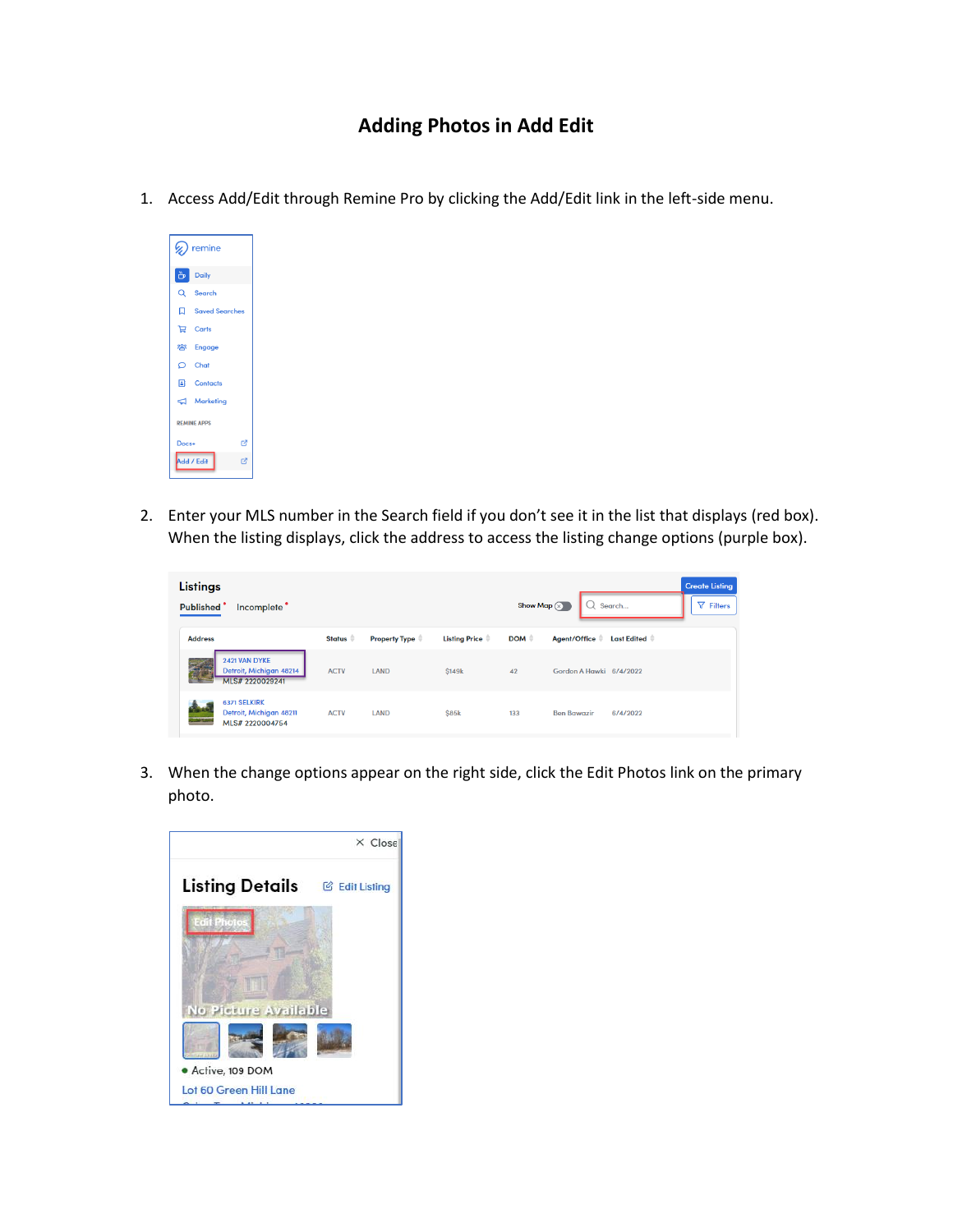## **Adding Photos in Add Edit**

1. Access Add/Edit through Remine Pro by clicking the Add/Edit link in the left-side menu.

| $\mathscr{D}$ remine |                     |  |  |  |  |  |  |  |
|----------------------|---------------------|--|--|--|--|--|--|--|
|                      | $\frac{w}{w}$ Daily |  |  |  |  |  |  |  |
|                      | Q Search            |  |  |  |  |  |  |  |
|                      | Saved Searches      |  |  |  |  |  |  |  |
|                      | <b>口</b> Carts      |  |  |  |  |  |  |  |
|                      | <b>卷</b> Engage     |  |  |  |  |  |  |  |
|                      | $\circ$ Chat        |  |  |  |  |  |  |  |
|                      | <b>E</b> Contacts   |  |  |  |  |  |  |  |
|                      | $\Box$ Marketing    |  |  |  |  |  |  |  |
| <b>REMINE APPS</b>   |                     |  |  |  |  |  |  |  |
| Docs+                | හි                  |  |  |  |  |  |  |  |
| 囪<br>Add / Edit      |                     |  |  |  |  |  |  |  |

2. Enter your MLS number in the Search field if you don't see it in the list that displays (red box). When the listing displays, click the address to access the listing change options (purple box).

| <b>Listings</b><br>Published <sup>®</sup><br>Incomplete <sup></sup> |                     |                      |                      | Show Map $(x)$   | Search                             | <b>Create Listing</b><br>$\nabla$ Filters |
|---------------------------------------------------------------------|---------------------|----------------------|----------------------|------------------|------------------------------------|-------------------------------------------|
| <b>Address</b>                                                      | Status $\triangleq$ | <b>Property Type</b> | <b>Listing Price</b> | DOM $\triangleq$ | <b>Last Edited</b><br>Agent/Office |                                           |
| 2421 VAN DYKE<br>Detroit, Michigan 48214<br>MLS# 2220029241         | <b>ACTV</b>         | LAND                 | <b>\$149k</b>        | 42               | Gordon A Hawki 6/4/2022            |                                           |
| <b>6371 SELKIRK</b><br>Detroit, Michigan 48211<br>MLS# 2220004754   | <b>ACTV</b>         | LAND                 | \$85k                | 133              | <b>Ben Bawazir</b><br>6/4/2022     |                                           |

3. When the change options appear on the right side, click the Edit Photos link on the primary photo.